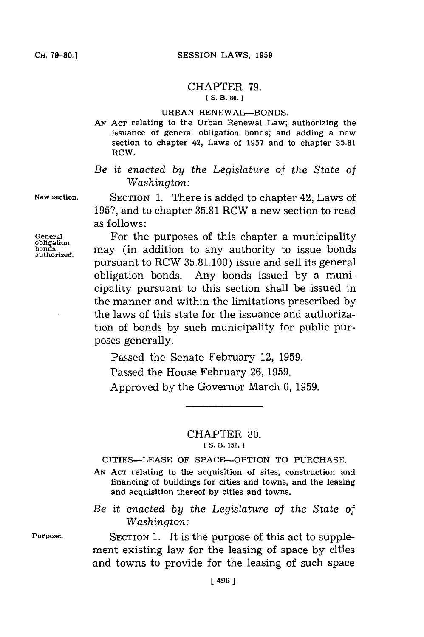## CHAPTER **79. [ S. B. 86. 1**

## **URBAN RENEWAL-BONDS.**

**AN ACT** relating to the Urban Renewal Law; authorizing the issuance of general obligation bonds; and adding a new section to chapter 42, Laws of **1957** and to chapter **35.81** RCW.

## *Be it* enacted *by the Legislature of the State of Washington:*

**New section.** SECTION **1.** There is added to chapter 42, Laws of **1957,** and to chapter **35.81** RCW a new section to read as follows:

General **For the purposes of this chapter a municipality**<br>obligation may (in addition to any authority to issue bonds bonds may (in addition to any authority to issue bonds authorized. pursuant to RCW **35.81.100)** issue and sell its general obligation bonds. Any bonds issued **by** a municipality pursuant to this section shall be issued in the manner and within the limitations prescribed **by** the laws of this state for the issuance and authorization of bonds **by** such municipality for public purposes generally.

> Passed the Senate February 12, **1959.** Passed the House February **26, 1959.** Approved **by** the Governor March **6, 1959.**

> > CHAPTER **80. [S. B. 152.**

CITIES-LEASE OF SPACE-OPTION TO **PURCHASE.**

**AN ACT** relating to the acquisition of sites, construction and financing of buildings for cities and towns, and the leasing and acquisition thereof **by** cities and towns.

*Be it enacted by the Legislature of the State of Washington:*

**Purpose. SECTION 1.** It is the purpose of this act to supplement existing law for the leasing of space **by** cities and towns to provide for the leasing of such space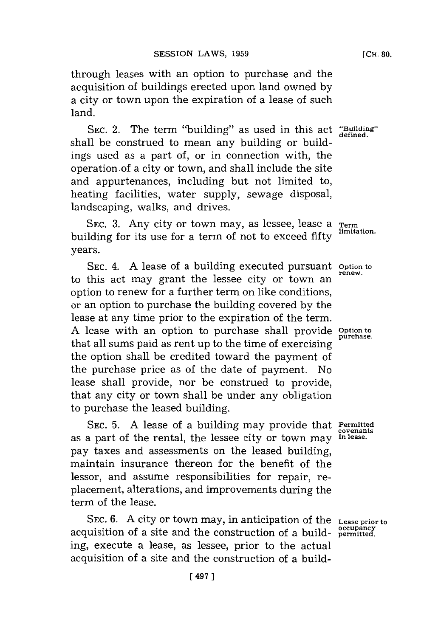through leases with an option to purchase and the acquisition of buildings erected upon land owned **by** a city or town upon the expiration of a lease of such land.

**SEC.** 2. The term "building" as used in this act **"Building"** shall be construed to mean any building or buildings used as a part of, or in connection with, the operation of a city or town, and shall include the site and appurtenances, including but not limited to, heating facilities, water supply, sewage disposal, landscaping, walks, and drives.

SEC. 3. Any city or town may, as lessee, lease a **Term**<br>
and *I* imitation. building for its use for a term of not to exceed fifty years.

SEC. 4. A lease of a building executed pursuant option to to this act may grant the lessee city or town an option to renew for a further term on like conditions, or an option to purchase the building covered **by** the lease at any time prior to the expiration of the term. **A** lease with an option to purchase shall provide **Option to** that all sums paid as rent up to the time of exercising the option shall be credited toward the payment of the purchase price as of the date of payment. No lease shall provide, nor be construed to provide, that any city or town shall be under any obligation to purchase the leased building.

SEC. **5. A** lease of a building may provide that **Permitted** as a part of the rental, the lessee city or town may pay taxes and assessments on the leased building, maintain insurance thereon for the benefit of the lessor, and assume responsibilities for repair, replacement, alterations, and improvements during the term of the lease.

**SEC. 6. A** city or town may, in anticipation of the **Lease prior to occupancy** acquisition of a site and the construction of a build- **permitted.** ing, execute a lease, as lessee, prior to the actual acquisition of a site and the construction of a build-

**covenants**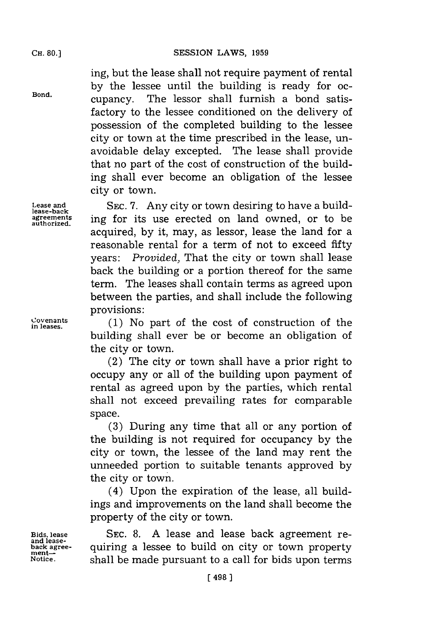ing, but the lease shall not require payment of rental by the lessee until the building is ready for oc-<br>Bond. **but** cupancy. The lessor shall furnish a bond satis-The lessor shall furnish a bond satisfactory to the lessee conditioned on the delivery of possession of the completed building to the lessee city or town at the time prescribed in the lease, unavoidable delay excepted. The lease shall provide that no part of the cost of construction of the building shall ever become an obligation of the lessee city or town.

**Lease and SEC. 7.** Any city or town desiring to have a building for its use erected on land owned, or to be acquired, by it, may, as lessor, lease the land for a reasonable rental for a term of not to exceed fifty years: *Provided,* That the city or town shall lease back the building or a portion thereof for the same term. The leases shall contain terms as agreed upon between the parties, and shall include the following provisions:

**Covenants** in leses.(1) No part of the cost of construction of the building shall ever be or become an obligation of the city or town.

> (2) The city or town shall have a prior right to occupy any or all of the building upon payment of rental as agreed upon **by** the parties, which rental shall not exceed prevailing rates for comparable space.

> **(3)** During any time that all or any portion of the building is not required for occupancy **by** the city or town, the lessee of the land may rent the unneeded portion to suitable tenants approved **by** the city or town.

> (4) Upon the expiration of the lease, all buildings and improvements on the land shall become the property of the city or town.

**Bids, lease SEC. 8. A** lease and lease back agreement re- **and leaseback agree-** quiring a lessee to build on city or town property ment-<br>ment-<br>Notice. **Shall be made pursuant to a call for hids upon terms** shall be made pursuant to a call for bids upon terms

**lease-back authorized.** fo